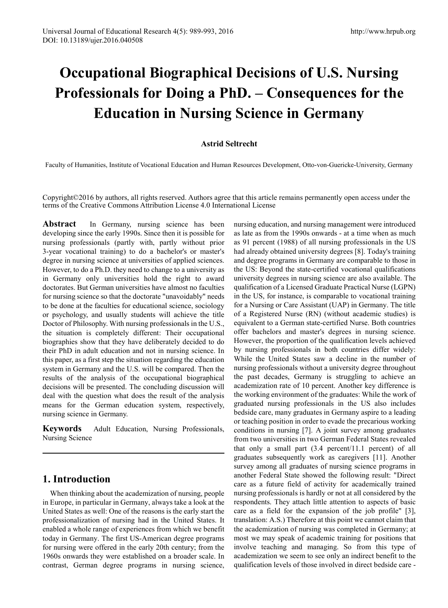# **Occupational Biographical Decisions of U.S. Nursing Professionals for Doing a PhD. – Consequences for the Education in Nursing Science in Germany**

#### **Astrid Seltrecht**

Faculty of Humanities, Institute of Vocational Education and Human Resources Development, Otto-von-Guericke-University, Germany

Copyright©2016 by authors, all rights reserved. Authors agree that this article remains permanently open access under the terms of the Creative Commons Attribution License 4.0 International License

**Abstract** In Germany, nursing science has been developing since the early 1990s. Since then it is possible for nursing professionals (partly with, partly without prior 3-year vocational training) to do a bachelor's or master's degree in nursing science at universities of applied sciences. However, to do a Ph.D. they need to change to a university as in Germany only universities hold the right to award doctorates. But German universities have almost no faculties for nursing science so that the doctorate "unavoidably" needs to be done at the faculties for educational science, sociology or psychology, and usually students will achieve the title Doctor of Philosophy. With nursing professionals in the U.S., the situation is completely different: Their occupational biographies show that they have deliberately decided to do their PhD in adult education and not in nursing science. In this paper, as a first step the situation regarding the education system in Germany and the U.S. will be compared. Then the results of the analysis of the occupational biographical decisions will be presented. The concluding discussion will deal with the question what does the result of the analysis means for the German education system, respectively, nursing science in Germany.

**Keywords** Adult Education, Nursing Professionals, Nursing Science

## **1. Introduction**

When thinking about the academization of nursing, people in Europe, in particular in Germany, always take a look at the United States as well: One of the reasons is the early start the professionalization of nursing had in the United States. It enabled a whole range of experiences from which we benefit today in Germany. The first US-American degree programs for nursing were offered in the early 20th century; from the 1960s onwards they were established on a broader scale. In contrast, German degree programs in nursing science,

nursing education, and nursing management were introduced as late as from the 1990s onwards - at a time when as much as 91 percent (1988) of all nursing professionals in the US had already obtained university degrees [8]. Today's training and degree programs in Germany are comparable to those in the US: Beyond the state-certified vocational qualifications university degrees in nursing science are also available. The qualification of a Licensed Graduate Practical Nurse (LGPN) in the US, for instance, is comparable to vocational training for a Nursing or Care Assistant (UAP) in Germany. The title of a Registered Nurse (RN) (without academic studies) is equivalent to a German state-certified Nurse. Both countries offer bachelors and master's degrees in nursing science. However, the proportion of the qualification levels achieved by nursing professionals in both countries differ widely: While the United States saw a decline in the number of nursing professionals without a university degree throughout the past decades, Germany is struggling to achieve an academization rate of 10 percent. Another key difference is the working environment of the graduates: While the work of graduated nursing professionals in the US also includes bedside care, many graduates in Germany aspire to a leading or teaching position in order to evade the precarious working conditions in nursing [7]. A joint survey among graduates from two universities in two German Federal States revealed that only a small part (3.4 percent/11.1 percent) of all graduates subsequently work as caregivers [11]. Another survey among all graduates of nursing science programs in another Federal State showed the following result: "Direct care as a future field of activity for academically trained nursing professionals is hardly or not at all considered by the respondents. They attach little attention to aspects of basic care as a field for the expansion of the job profile" [3], translation: A.S.) Therefore at this point we cannot claim that the academization of nursing was completed in Germany; at most we may speak of academic training for positions that involve teaching and managing. So from this type of academization we seem to see only an indirect benefit to the qualification levels of those involved in direct bedside care -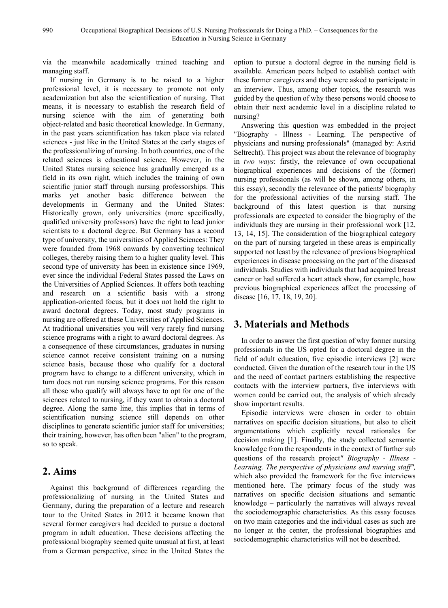via the meanwhile academically trained teaching and managing staff.

If nursing in Germany is to be raised to a higher professional level, it is necessary to promote not only academization but also the scientification of nursing. That means, it is necessary to establish the research field of nursing science with the aim of generating both object-related and basic theoretical knowledge. In Germany, in the past years scientification has taken place via related sciences - just like in the United States at the early stages of the professionalizing of nursing. In both countries, one of the related sciences is educational science. However, in the United States nursing science has gradually emerged as a field in its own right, which includes the training of own scientific junior staff through nursing professorships. This marks yet another basic difference between the developments in Germany and the United States: Historically grown, only universities (more specifically, qualified university professors) have the right to lead junior scientists to a doctoral degree. But Germany has a second type of university, the universities of Applied Sciences: They were founded from 1968 onwards by converting technical colleges, thereby raising them to a higher quality level. This second type of university has been in existence since 1969, ever since the individual Federal States passed the Laws on the Universities of Applied Sciences. It offers both teaching and research on a scientific basis with a strong application-oriented focus, but it does not hold the right to award doctoral degrees. Today, most study programs in nursing are offered at these Universities of Applied Sciences. At traditional universities you will very rarely find nursing science programs with a right to award doctoral degrees. As a consequence of these circumstances, graduates in nursing science cannot receive consistent training on a nursing science basis, because those who qualify for a doctoral program have to change to a different university, which in turn does not run nursing science programs. For this reason all those who qualify will always have to opt for one of the sciences related to nursing, if they want to obtain a doctoral degree. Along the same line, this implies that in terms of scientification nursing science still depends on other disciplines to generate scientific junior staff for universities; their training, however, has often been "alien" to the program, so to speak.

## **2. Aims**

Against this background of differences regarding the professionalizing of nursing in the United States and Germany, during the preparation of a lecture and research tour to the United States in 2012 it became known that several former caregivers had decided to pursue a doctoral program in adult education. These decisions affecting the professional biography seemed quite unusual at first, at least from a German perspective, since in the United States the

option to pursue a doctoral degree in the nursing field is available. American peers helped to establish contact with these former caregivers and they were asked to participate in an interview. Thus, among other topics, the research was guided by the question of why these persons would choose to obtain their next academic level in a discipline related to nursing?

Answering this question was embedded in the project "Biography - Illness - Learning. The perspective of physicians and nursing professionals" (managed by: Astrid Seltrecht). This project was about the relevance of biography in *two ways*: firstly, the relevance of own occupational biographical experiences and decisions of the (former) nursing professionals (as will be shown, among others, in this essay), secondly the relevance of the patients' biography for the professional activities of the nursing staff. The background of this latest question is that nursing professionals are expected to consider the biography of the individuals they are nursing in their professional work [12, 13, 14, 15]. The consideration of the biographical category on the part of nursing targeted in these areas is empirically supported not least by the relevance of previous biographical experiences in disease processing on the part of the diseased individuals. Studies with individuals that had acquired breast cancer or had suffered a heart attack show, for example, how previous biographical experiences affect the processing of disease [16, 17, 18, 19, 20].

## **3. Materials and Methods**

In order to answer the first question of why former nursing professionals in the US opted for a doctoral degree in the field of adult education, five episodic interviews [2] were conducted. Given the duration of the research tour in the US and the need of contact partners establishing the respective contacts with the interview partners, five interviews with women could be carried out, the analysis of which already show important results.

Episodic interviews were chosen in order to obtain narratives on specific decision situations, but also to elicit argumentations which explicitly reveal rationales for decision making [1]. Finally, the study collected semantic knowledge from the respondents in the context of further sub questions of the research project*" Biography - Illness - Learning. The perspective of physicians and nursing staff",*  which also provided the framework for the five interviews mentioned here. The primary focus of the study was narratives on specific decision situations and semantic knowledge – particularly the narratives will always reveal the sociodemographic characteristics. As this essay focuses on two main categories and the individual cases as such are no longer at the center, the professional biographies and sociodemographic characteristics will not be described.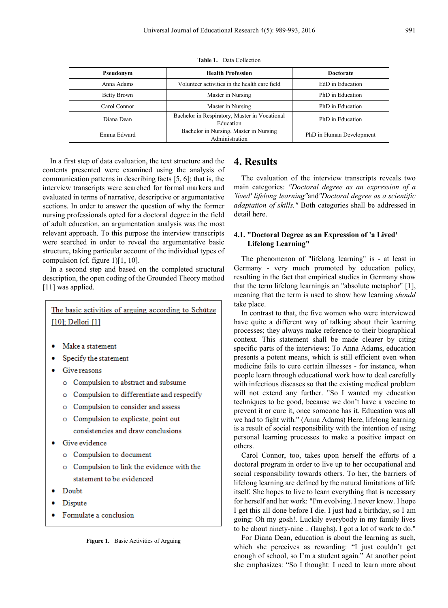| Pseudonym    | <b>Health Profession</b>                                   | <b>Doctorate</b>         |
|--------------|------------------------------------------------------------|--------------------------|
| Anna Adams   | Volunteer activities in the health care field              | EdD in Education         |
| Betty Brown  | Master in Nursing                                          | PhD in Education         |
| Carol Connor | Master in Nursing                                          | PhD in Education         |
| Diana Dean   | Bachelor in Respiratory, Master in Vocational<br>Education | PhD in Education         |
| Emma Edward  | Bachelor in Nursing, Master in Nursing<br>Administration   | PhD in Human Development |

**Table 1.** Data Collection

In a first step of data evaluation, the text structure and the contents presented were examined using the analysis of communication patterns in describing facts [5, 6]; that is, the interview transcripts were searched for formal markers and evaluated in terms of narrative, descriptive or argumentative sections. In order to answer the question of why the former nursing professionals opted for a doctoral degree in the field of adult education, an argumentation analysis was the most relevant approach. To this purpose the interview transcripts were searched in order to reveal the argumentative basic structure, taking particular account of the individual types of compulsion (cf. figure 1)[1, 10].

In a second step and based on the completed structural description, the open coding of the Grounded Theory method [11] was applied.

## The basic activities of arguing according to Schütze [10]; Dellori [1]

- Make a statement
- Specify the statement
- Give reasons
	- o Compulsion to abstract and subsume
	- o Compulsion to differentiate and respecify
	- O Compulsion to consider and assess
	- o Compulsion to explicate, point out consistencies and draw conclusions
- Give evidence
	- o Compulsion to document
	- o Compulsion to link the evidence with the statement to be evidenced
- Doubt.
- Dispute
- Formulate a conclusion

#### **4. Results**

The evaluation of the interview transcripts reveals two main categories: *"Doctoral degree as an expression of a 'lived' lifelong learning"*and*"Doctoral degree as a scientific adaptation of skills."* Both categories shall be addressed in detail here.

#### **4.1. "Doctoral Degree as an Expression of 'a Lived' Lifelong Learning"**

The phenomenon of "lifelong learning" is - at least in Germany - very much promoted by education policy, resulting in the fact that empirical studies in Germany show that the term lifelong learningis an "absolute metaphor" [1], meaning that the term is used to show how learning *should* take place.

In contrast to that, the five women who were interviewed have quite a different way of talking about their learning processes; they always make reference to their biographical context. This statement shall be made clearer by citing specific parts of the interviews: To Anna Adams, education presents a potent means, which is still efficient even when medicine fails to cure certain illnesses - for instance, when people learn through educational work how to deal carefully with infectious diseases so that the existing medical problem will not extend any further. "So I wanted my education techniques to be good, because we don't have a vaccine to prevent it or cure it, once someone has it. Education was all we had to fight with." (Anna Adams) Here, lifelong learning is a result of social responsibility with the intention of using personal learning processes to make a positive impact on others.

Carol Connor, too, takes upon herself the efforts of a doctoral program in order to live up to her occupational and social responsibility towards others. To her, the barriers of lifelong learning are defined by the natural limitations of life itself. She hopes to live to learn everything that is necessary for herself and her work: "I'm evolving. I never know. I hope I get this all done before I die. I just had a birthday, so I am going: Oh my gosh!. Luckily everybody in my family lives to be about ninety-nine .. (laughs). I got a lot of work to do."

For Diana Dean, education is about the learning as such, which she perceives as rewarding: "I just couldn't get enough of school, so I'm a student again." At another point she emphasizes: "So I thought: I need to learn more about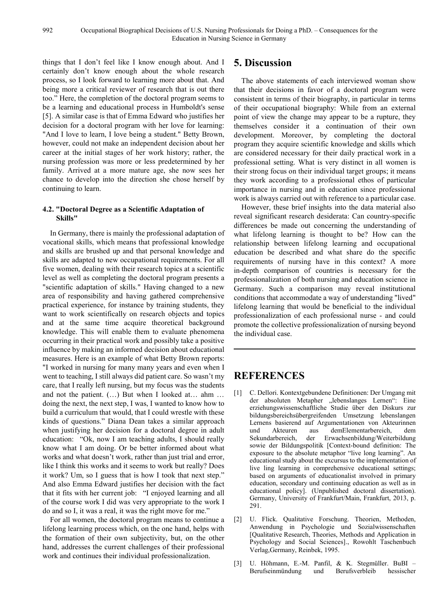things that I don't feel like I know enough about. And I certainly don't know enough about the whole research process, so I look forward to learning more about that. And being more a critical reviewer of research that is out there too." Here, the completion of the doctoral program seems to be a learning and educational process in Humboldt's sense [5]. A similar case is that of Emma Edward who justifies her decision for a doctoral program with her love for learning: "And I love to learn, I love being a student." Betty Brown, however, could not make an independent decision about her career at the initial stages of her work history; rather, the nursing profession was more or less predetermined by her family. Arrived at a more mature age, she now sees her chance to develop into the direction she chose herself by continuing to learn.

#### **4.2. "Doctoral Degree as a Scientific Adaptation of Skills"**

In Germany, there is mainly the professional adaptation of vocational skills, which means that professional knowledge and skills are brushed up and that personal knowledge and skills are adapted to new occupational requirements. For all five women, dealing with their research topics at a scientific level as well as completing the doctoral program presents a "scientific adaptation of skills." Having changed to a new area of responsibility and having gathered comprehensive practical experience, for instance by training students, they want to work scientifically on research objects and topics and at the same time acquire theoretical background knowledge. This will enable them to evaluate phenomena occurring in their practical work and possibly take a positive influence by making an informed decision about educational measures. Here is an example of what Betty Brown reports: "I worked in nursing for many many years and even when I went to teaching, I still always did patient care. So wasn't my care, that I really left nursing, but my focus was the students and not the patient. (…) But when I looked at… ahm … doing the next, the next step, I was, I wanted to know how to build a curriculum that would, that I could wrestle with these kinds of questions." Diana Dean takes a similar approach when justifying her decision for a doctoral degree in adult education: "Ok, now I am teaching adults, I should really know what I am doing. Or be better informed about what works and what doesn't work, rather than just trial and error, like I think this works and it seems to work but really? Does it work? Um, so I guess that is how I took that next step." And also Emma Edward justifies her decision with the fact that it fits with her current job: "I enjoyed learning and all of the course work I did was very appropriate to the work I do and so I, it was a real, it was the right move for me."

For all women, the doctoral program means to continue a lifelong learning process which, on the one hand, helps with the formation of their own subjectivity, but, on the other hand, addresses the current challenges of their professional work and continues their individual professionalization.

### **5. Discussion**

The above statements of each interviewed woman show that their decisions in favor of a doctoral program were consistent in terms of their biography, in particular in terms of their occupational biography: While from an external point of view the change may appear to be a rupture, they themselves consider it a continuation of their own development. Moreover, by completing the doctoral program they acquire scientific knowledge and skills which are considered necessary for their daily practical work in a professional setting. What is very distinct in all women is their strong focus on their individual target groups; it means they work according to a professional ethos of particular importance in nursing and in education since professional work is always carried out with reference to a particular case.

However, these brief insights into the data material also reveal significant research desiderata: Can country-specific differences be made out concerning the understanding of what lifelong learning is thought to be? How can the relationship between lifelong learning and occupational education be described and what share do the specific requirements of nursing have in this context? A more in-depth comparison of countries is necessary for the professionalization of both nursing and education science in Germany. Such a comparison may reveal institutional conditions that accommodate a way of understanding "lived" lifelong learning that would be beneficial to the individual professionalization of each professional nurse - and could promote the collective professionalization of nursing beyond the individual case.

## **REFERENCES**

- [1] C. Dellori. Kontextgebundene Definitionen: Der Umgang mit der absoluten Metapher "lebenslanges Lernen": Eine erziehungswissenschaftliche Studie über den Diskurs zur bildungsbereichsübergreifenden Umsetzung lebenslangen Lernens basierend auf Argumentationen von Akteurinnen und Akteuren aus demElementarbereich, dem Sekundarbereich, der Erwachsenbildung/Weiterbildung sowie der Bildungspolitik [Context-bound definition: The exposure to the absolute metaphor "live long learning". An educational study about the excursus to the implementation of live ling learning in comprehensive educational settings; based on arguments of educationalist involved in primary education, secondary und continuing education as well as in educational policy]. (Unpublished doctoral dissertation). Germany, University of Frankfurt/Main, Frankfurt, 2013, p. 291.
- [2] U. Flick. Qualitative Forschung. Theorien, Methoden, Anwendung in Psychologie und Sozialwissenschaften [Qualitative Research, Theories, Methods and Application in Psychology and Social Sciences]., Rowohlt Taschenbuch Verlag,Germany, Reinbek, 1995.
- [3] U. Höhmann, E.-M. Panfil, & K. Stegmüller. BuBI Berufseinmündung und Berufsverbleib hessischer